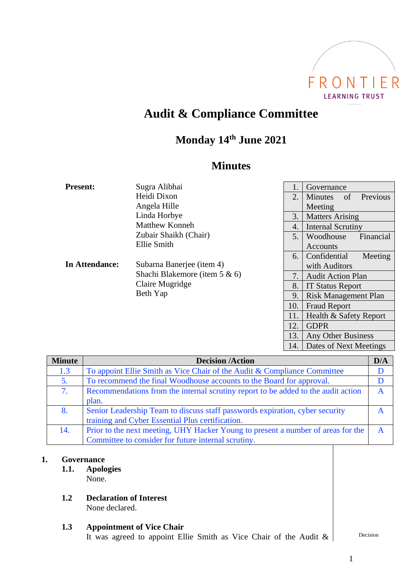

# **Audit & Compliance Committee**

# **Monday 14 th June 2021**

# **Minutes**

| <b>Present:</b> | Sugra Alibhai                                                                                                                                                                  | 1.  | Governance                       |  |
|-----------------|--------------------------------------------------------------------------------------------------------------------------------------------------------------------------------|-----|----------------------------------|--|
|                 | Heidi Dixon                                                                                                                                                                    | 2.  | Previous<br><b>Minutes</b><br>of |  |
|                 | Angela Hille                                                                                                                                                                   |     | Meeting                          |  |
| In Attendance:  | Linda Horbye<br><b>Matthew Konneh</b><br>Zubair Shaikh (Chair)<br>Ellie Smith<br>Subarna Banerjee (item 4)<br>Shachi Blakemore (item $5 \& 6$ )<br>Claire Mugridge<br>Beth Yap | 3.  | <b>Matters Arising</b>           |  |
|                 |                                                                                                                                                                                | 4.  | <b>Internal Scrutiny</b>         |  |
|                 |                                                                                                                                                                                | 5.  | Woodhouse<br>Financial           |  |
|                 |                                                                                                                                                                                |     | Accounts                         |  |
|                 |                                                                                                                                                                                | 6.  | Confidential<br>Meeting          |  |
|                 |                                                                                                                                                                                |     | with Auditors                    |  |
|                 |                                                                                                                                                                                | 7.  | <b>Audit Action Plan</b>         |  |
|                 |                                                                                                                                                                                | 8.  | <b>IT Status Report</b>          |  |
|                 |                                                                                                                                                                                | 9.  | <b>Risk Management Plan</b>      |  |
|                 |                                                                                                                                                                                | 10. | <b>Fraud Report</b>              |  |
|                 |                                                                                                                                                                                | 11. | Health & Safety Report           |  |
|                 |                                                                                                                                                                                | 12. | <b>GDPR</b>                      |  |
|                 |                                                                                                                                                                                | 13. | Any Other Business               |  |

| <b>Minute</b> | <b>Decision /Action</b>                                                           | D/A                     |
|---------------|-----------------------------------------------------------------------------------|-------------------------|
| 1.3           | To appoint Ellie Smith as Vice Chair of the Audit & Compliance Committee          |                         |
| 5.            | To recommend the final Woodhouse accounts to the Board for approval.              |                         |
| 7.            | Recommendations from the internal scrutiny report to be added to the audit action | A                       |
|               | plan.                                                                             |                         |
| 8.            | Senior Leadership Team to discuss staff passwords expiration, cyber security      | $\overline{\mathsf{A}}$ |
|               | training and Cyber Essential Plus certification.                                  |                         |
| 14.           | Prior to the next meeting, UHY Hacker Young to present a number of areas for the  | $\mathbf{A}$            |
|               | Committee to consider for future internal scrutiny.                               |                         |

#### **1. Governance**

- **1.1. Apologies** None.
- **1.2 Declaration of Interest** None declared.

#### **1.3 Appointment of Vice Chair** It was agreed to appoint Ellie Smith as Vice Chair of the Audit  $\&$  Decision

14. Dates of Next Meetings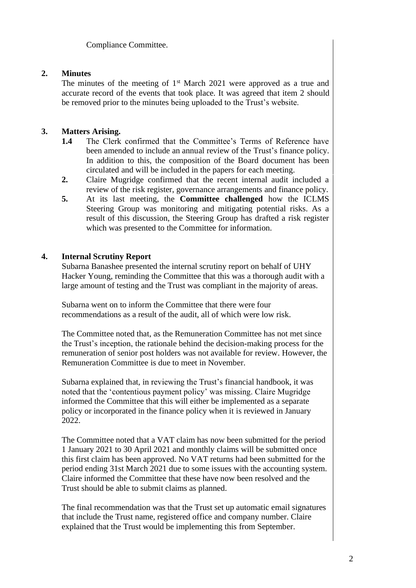Compliance Committee.

## **2. Minutes**

The minutes of the meeting of  $1<sup>st</sup>$  March 2021 were approved as a true and accurate record of the events that took place. It was agreed that item 2 should be removed prior to the minutes being uploaded to the Trust's website.

# **3. Matters Arising.**

- **1.4** The Clerk confirmed that the Committee's Terms of Reference have been amended to include an annual review of the Trust's finance policy. In addition to this, the composition of the Board document has been circulated and will be included in the papers for each meeting.
- **2.** Claire Mugridge confirmed that the recent internal audit included a review of the risk register, governance arrangements and finance policy.
- **5.** At its last meeting, the **Committee challenged** how the ICLMS Steering Group was monitoring and mitigating potential risks. As a result of this discussion, the Steering Group has drafted a risk register which was presented to the Committee for information.

### **4. Internal Scrutiny Report**

Subarna Banashee presented the internal scrutiny report on behalf of UHY Hacker Young, reminding the Committee that this was a thorough audit with a large amount of testing and the Trust was compliant in the majority of areas.

Subarna went on to inform the Committee that there were four recommendations as a result of the audit, all of which were low risk.

The Committee noted that, as the Remuneration Committee has not met since the Trust's inception, the rationale behind the decision-making process for the remuneration of senior post holders was not available for review. However, the Remuneration Committee is due to meet in November.

Subarna explained that, in reviewing the Trust's financial handbook, it was noted that the 'contentious payment policy' was missing. Claire Mugridge informed the Committee that this will either be implemented as a separate policy or incorporated in the finance policy when it is reviewed in January 2022.

The Committee noted that a VAT claim has now been submitted for the period 1 January 2021 to 30 April 2021 and monthly claims will be submitted once this first claim has been approved. No VAT returns had been submitted for the period ending 31st March 2021 due to some issues with the accounting system. Claire informed the Committee that these have now been resolved and the Trust should be able to submit claims as planned.

The final recommendation was that the Trust set up automatic email signatures that include the Trust name, registered office and company number. Claire explained that the Trust would be implementing this from September.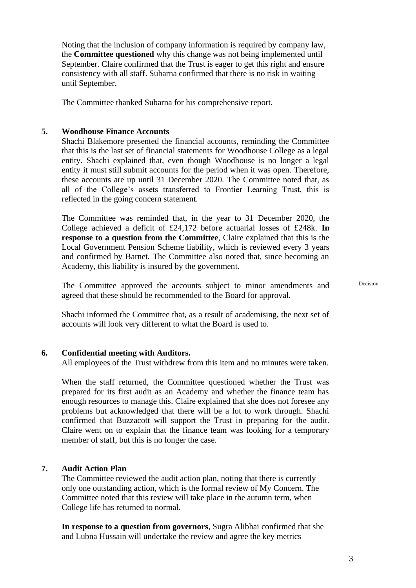Noting that the inclusion of company information is required by company law, the **Committee questioned** why this change was not being implemented until September. Claire confirmed that the Trust is eager to get this right and ensure consistency with all staff. Subarna confirmed that there is no risk in waiting until September.

The Committee thanked Subarna for his comprehensive report.

#### **5. Woodhouse Finance Accounts**

Shachi Blakemore presented the financial accounts, reminding the Committee that this is the last set of financial statements for Woodhouse College as a legal entity. Shachi explained that, even though Woodhouse is no longer a legal entity it must still submit accounts for the period when it was open. Therefore, these accounts are up until 31 December 2020. The Committee noted that, as all of the College's assets transferred to Frontier Learning Trust, this is reflected in the going concern statement.

The Committee was reminded that, in the year to 31 December 2020, the College achieved a deficit of £24,172 before actuarial losses of £248k. **In response to a question from the Committee**, Claire explained that this is the Local Government Pension Scheme liability, which is reviewed every 3 years and confirmed by Barnet. The Committee also noted that, since becoming an Academy, this liability is insured by the government.

The Committee approved the accounts subject to minor amendments and agreed that these should be recommended to the Board for approval.

Shachi informed the Committee that, as a result of academising, the next set of accounts will look very different to what the Board is used to.

#### **6. Confidential meeting with Auditors.**

All employees of the Trust withdrew from this item and no minutes were taken.

When the staff returned, the Committee questioned whether the Trust was prepared for its first audit as an Academy and whether the finance team has enough resources to manage this. Claire explained that she does not foresee any problems but acknowledged that there will be a lot to work through. Shachi confirmed that Buzzacott will support the Trust in preparing for the audit. Claire went on to explain that the finance team was looking for a temporary member of staff, but this is no longer the case.

#### **7. Audit Action Plan**

The Committee reviewed the audit action plan, noting that there is currently only one outstanding action, which is the formal review of My Concern. The Committee noted that this review will take place in the autumn term, when College life has returned to normal.

**In response to a question from governors**, Sugra Alibhai confirmed that she and Lubna Hussain will undertake the review and agree the key metrics

Decision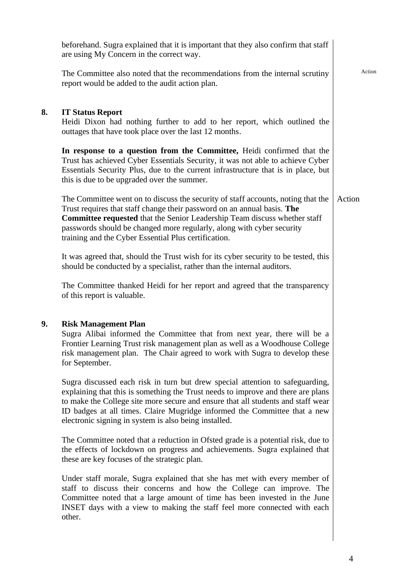|    | beforehand. Sugra explained that it is important that they also confirm that staff<br>are using My Concern in the correct way.                                                                                                                                                                                                                                                              |        |
|----|---------------------------------------------------------------------------------------------------------------------------------------------------------------------------------------------------------------------------------------------------------------------------------------------------------------------------------------------------------------------------------------------|--------|
|    | The Committee also noted that the recommendations from the internal scrutiny<br>report would be added to the audit action plan.                                                                                                                                                                                                                                                             | Action |
| 8. | <b>IT Status Report</b><br>Heidi Dixon had nothing further to add to her report, which outlined the<br>outtages that have took place over the last 12 months.                                                                                                                                                                                                                               |        |
|    | In response to a question from the Committee, Heidi confirmed that the<br>Trust has achieved Cyber Essentials Security, it was not able to achieve Cyber<br>Essentials Security Plus, due to the current infrastructure that is in place, but<br>this is due to be upgraded over the summer.                                                                                                |        |
|    | The Committee went on to discuss the security of staff accounts, noting that the<br>Trust requires that staff change their password on an annual basis. The<br><b>Committee requested</b> that the Senior Leadership Team discuss whether staff<br>passwords should be changed more regularly, along with cyber security<br>training and the Cyber Essential Plus certification.            | Action |
|    | It was agreed that, should the Trust wish for its cyber security to be tested, this<br>should be conducted by a specialist, rather than the internal auditors.                                                                                                                                                                                                                              |        |
|    | The Committee thanked Heidi for her report and agreed that the transparency<br>of this report is valuable.                                                                                                                                                                                                                                                                                  |        |
| 9. | <b>Risk Management Plan</b><br>Sugra Alibai informed the Committee that from next year, there will be a<br>Frontier Learning Trust risk management plan as well as a Woodhouse College<br>risk management plan. The Chair agreed to work with Sugra to develop these<br>for September.                                                                                                      |        |
|    | Sugra discussed each risk in turn but drew special attention to safeguarding,<br>explaining that this is something the Trust needs to improve and there are plans<br>to make the College site more secure and ensure that all students and staff wear<br>ID badges at all times. Claire Mugridge informed the Committee that a new<br>electronic signing in system is also being installed. |        |
|    | The Committee noted that a reduction in Ofsted grade is a potential risk, due to<br>the effects of lockdown on progress and achievements. Sugra explained that<br>these are key focuses of the strategic plan.                                                                                                                                                                              |        |
|    | Under staff morale, Sugra explained that she has met with every member of<br>staff to discuss their concerns and how the College can improve. The<br>Committee noted that a large amount of time has been invested in the June<br>INSET days with a view to making the staff feel more connected with each<br>other.                                                                        |        |
|    |                                                                                                                                                                                                                                                                                                                                                                                             |        |